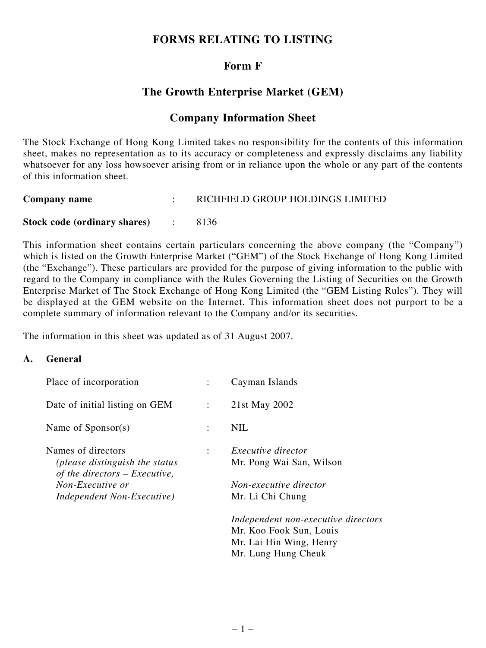# **FORMS RELATING TO LISTING**

# **Form F**

# **The Growth Enterprise Market (GEM)**

## **Company Information Sheet**

The Stock Exchange of Hong Kong Limited takes no responsibility for the contents of this information sheet, makes no representation as to its accuracy or completeness and expressly disclaims any liability whatsoever for any loss howsoever arising from or in reliance upon the whole or any part of the contents of this information sheet.

| Company name                   | RICHFIELD GROUP HOLDINGS LIMITED |
|--------------------------------|----------------------------------|
| Stock code (ordinary shares) : | 8136                             |

This information sheet contains certain particulars concerning the above company (the "Company") which is listed on the Growth Enterprise Market ("GEM") of the Stock Exchange of Hong Kong Limited (the "Exchange"). These particulars are provided for the purpose of giving information to the public with regard to the Company in compliance with the Rules Governing the Listing of Securities on the Growth Enterprise Market of The Stock Exchange of Hong Kong Limited (the "GEM Listing Rules"). They will be displayed at the GEM website on the Internet. This information sheet does not purport to be a complete summary of information relevant to the Company and/or its securities.

The information in this sheet was updated as of 31 August 2007.

#### **A. General**

| Place of incorporation                                            |                      | Cayman Islands                      |
|-------------------------------------------------------------------|----------------------|-------------------------------------|
| Date of initial listing on GEM                                    | $\ddot{\cdot}$       | 21st May 2002                       |
| Name of Sponsor(s)                                                | $\ddot{\phantom{a}}$ | <b>NIL</b>                          |
| Names of directors                                                | ÷                    | <i>Executive director</i>           |
| (please distinguish the status<br>of the directors $-$ Executive, |                      | Mr. Pong Wai San, Wilson            |
| Non-Executive or                                                  |                      | Non-executive director              |
| Independent Non-Executive)                                        |                      | Mr. Li Chi Chung                    |
|                                                                   |                      | Independent non-executive directors |
|                                                                   |                      | Mr. Koo Fook Sun, Louis             |
|                                                                   |                      | Mr. Lai Hin Wing, Henry             |
|                                                                   |                      | Mr. Lung Hung Cheuk                 |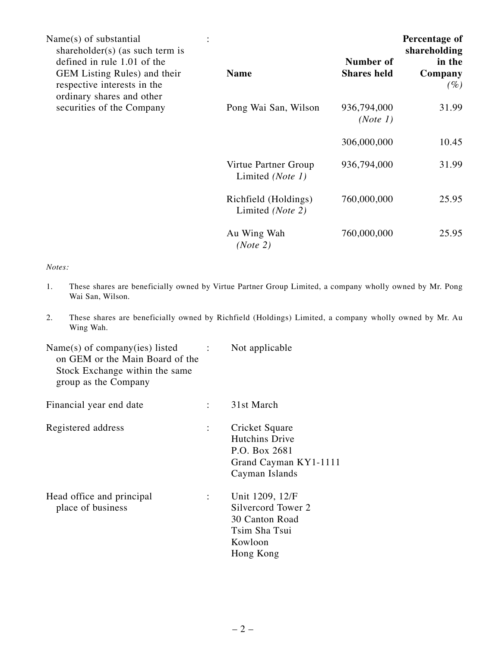| Name(s) of substantial<br>shareholder( $s$ ) (as such term is<br>defined in rule 1.01 of the |                                          | Number of               | Percentage of<br>shareholding<br>in the |
|----------------------------------------------------------------------------------------------|------------------------------------------|-------------------------|-----------------------------------------|
| GEM Listing Rules) and their<br>respective interests in the<br>ordinary shares and other     | <b>Name</b>                              | <b>Shares held</b>      | Company<br>$(\%)$                       |
| securities of the Company                                                                    | Pong Wai San, Wilson                     | 936,794,000<br>(Note 1) | 31.99                                   |
|                                                                                              |                                          | 306,000,000             | 10.45                                   |
|                                                                                              | Virtue Partner Group<br>Limited (Note 1) | 936,794,000             | 31.99                                   |
|                                                                                              | Richfield (Holdings)<br>Limited (Note 2) | 760,000,000             | 25.95                                   |
|                                                                                              | Au Wing Wah<br>(Note 2)                  | 760,000,000             | 25.95                                   |

#### *Notes:*

- 1. These shares are beneficially owned by Virtue Partner Group Limited, a company wholly owned by Mr. Pong Wai San, Wilson.
- 2. These shares are beneficially owned by Richfield (Holdings) Limited, a company wholly owned by Mr. Au Wing Wah.

| Name(s) of company(ies) listed<br>on GEM or the Main Board of the<br>Stock Exchange within the same<br>group as the Company | $\mathcal{L} = \{1, 2, \ldots \}$ | Not applicable                                                                                   |
|-----------------------------------------------------------------------------------------------------------------------------|-----------------------------------|--------------------------------------------------------------------------------------------------|
| Financial year end date                                                                                                     |                                   | 31st March                                                                                       |
| Registered address                                                                                                          | ÷                                 | Cricket Square<br>Hutchins Drive<br>P.O. Box 2681<br>Grand Cayman KY1-1111<br>Cayman Islands     |
| Head office and principal<br>place of business                                                                              |                                   | Unit 1209, 12/F<br>Silvercord Tower 2<br>30 Canton Road<br>Tsim Sha Tsui<br>Kowloon<br>Hong Kong |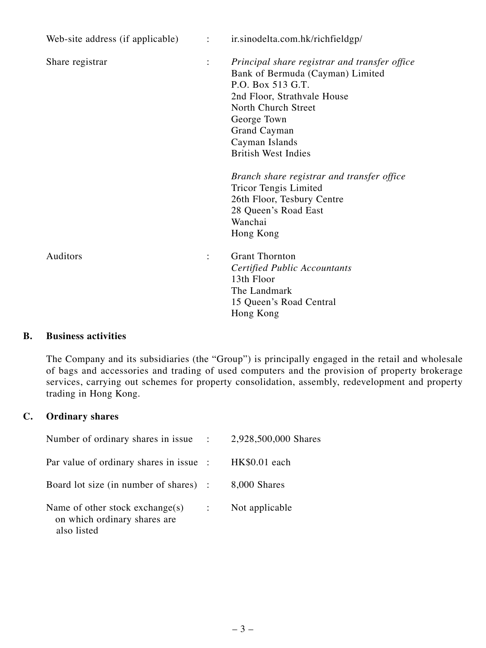| Web-site address (if applicable) $\cdot$ : |                      | ir.sinodelta.com.hk/richfieldgp/                                                                                                                                                                                                                   |
|--------------------------------------------|----------------------|----------------------------------------------------------------------------------------------------------------------------------------------------------------------------------------------------------------------------------------------------|
| Share registrar                            | $\ddot{\phantom{a}}$ | Principal share registrar and transfer office<br>Bank of Bermuda (Cayman) Limited<br>P.O. Box 513 G.T.<br>2nd Floor, Strathvale House<br>North Church Street<br>George Town<br><b>Grand Cayman</b><br>Cayman Islands<br><b>British West Indies</b> |
|                                            |                      | Branch share registrar and transfer office<br><b>Tricor Tengis Limited</b><br>26th Floor, Tesbury Centre<br>28 Queen's Road East<br>Wanchai<br>Hong Kong                                                                                           |
| Auditors                                   | $\ddot{\cdot}$       | <b>Grant Thornton</b><br><b>Certified Public Accountants</b><br>13th Floor<br>The Landmark<br>15 Queen's Road Central<br>Hong Kong                                                                                                                 |

### **B. Business activities**

The Company and its subsidiaries (the "Group") is principally engaged in the retail and wholesale of bags and accessories and trading of used computers and the provision of property brokerage services, carrying out schemes for property consolidation, assembly, redevelopment and property trading in Hong Kong.

## **C. Ordinary shares**

| Number of ordinary shares in issue :                                              |                | 2,928,500,000 Shares |
|-----------------------------------------------------------------------------------|----------------|----------------------|
| Par value of ordinary shares in issue :                                           |                | HK\$0.01 each        |
| Board lot size (in number of shares) :                                            |                | 8,000 Shares         |
| Name of other stock exchange $(s)$<br>on which ordinary shares are<br>also listed | $\ddot{\cdot}$ | Not applicable       |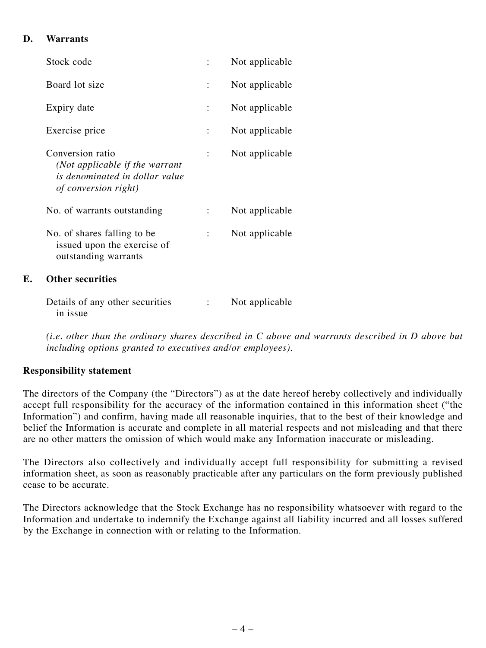## **D. Warrants**

|    | Stock code                                                                                                   | Not applicable |
|----|--------------------------------------------------------------------------------------------------------------|----------------|
|    | Board lot size                                                                                               | Not applicable |
|    | Expiry date                                                                                                  | Not applicable |
|    | Exercise price                                                                                               | Not applicable |
|    | Conversion ratio<br>(Not applicable if the warrant<br>is denominated in dollar value<br>of conversion right) | Not applicable |
|    | No. of warrants outstanding                                                                                  | Not applicable |
|    | No. of shares falling to be<br>issued upon the exercise of<br>outstanding warrants                           | Not applicable |
| F. | <b>Other securities</b>                                                                                      |                |
|    | Details of any other securities<br>in issue                                                                  | Not applicable |

*(i.e. other than the ordinary shares described in C above and warrants described in D above but including options granted to executives and/or employees).*

## **Responsibility statement**

The directors of the Company (the "Directors") as at the date hereof hereby collectively and individually accept full responsibility for the accuracy of the information contained in this information sheet ("the Information") and confirm, having made all reasonable inquiries, that to the best of their knowledge and belief the Information is accurate and complete in all material respects and not misleading and that there are no other matters the omission of which would make any Information inaccurate or misleading.

The Directors also collectively and individually accept full responsibility for submitting a revised information sheet, as soon as reasonably practicable after any particulars on the form previously published cease to be accurate.

The Directors acknowledge that the Stock Exchange has no responsibility whatsoever with regard to the Information and undertake to indemnify the Exchange against all liability incurred and all losses suffered by the Exchange in connection with or relating to the Information.